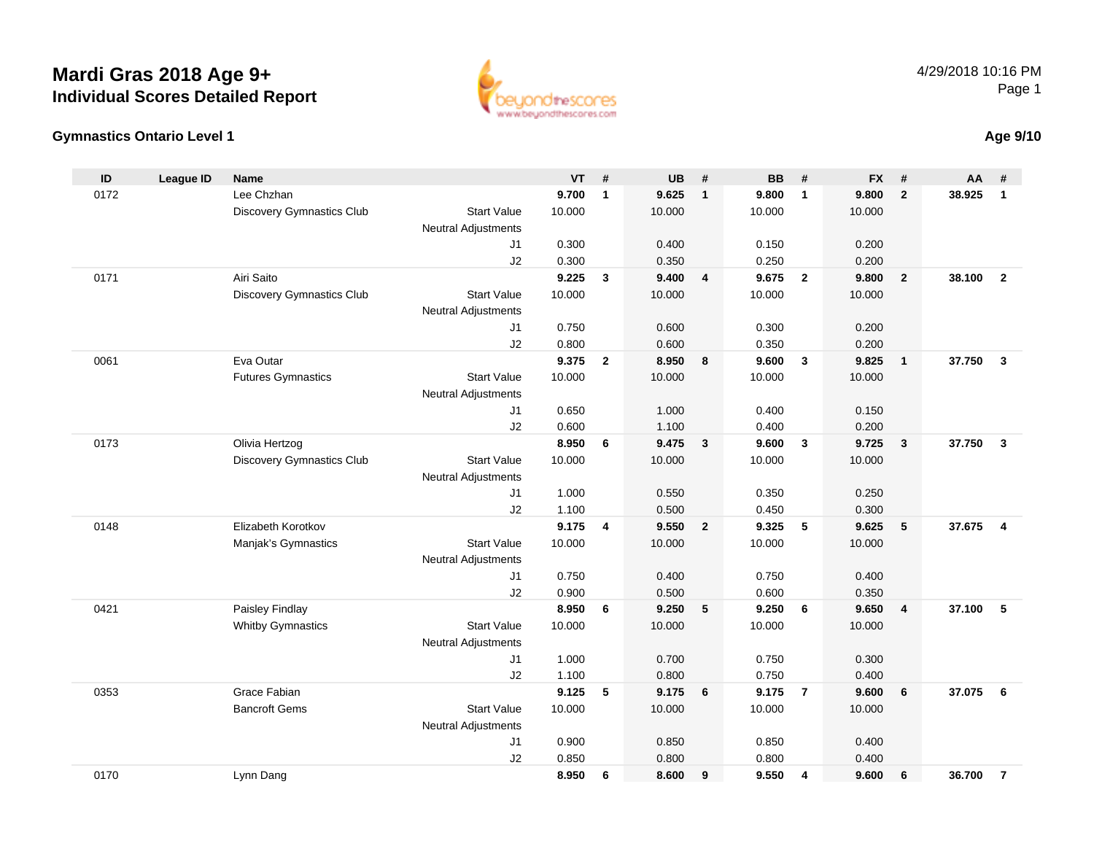## **Mardi Gras 2018 Age 9+Individual Scores Detailed Report**





## **Age 9/10**

| ID   | <b>League ID</b> | <b>Name</b>                      |                            | <b>VT</b> | #              | <b>UB</b> | #              | <b>BB</b> | #              | <b>FX</b> | #                       | AA     | #                       |
|------|------------------|----------------------------------|----------------------------|-----------|----------------|-----------|----------------|-----------|----------------|-----------|-------------------------|--------|-------------------------|
| 0172 |                  | Lee Chzhan                       |                            | 9.700     | $\mathbf{1}$   | 9.625     | $\mathbf{1}$   | 9.800     | $\overline{1}$ | 9.800     | $\overline{2}$          | 38.925 | $\mathbf{1}$            |
|      |                  | <b>Discovery Gymnastics Club</b> | <b>Start Value</b>         | 10.000    |                | 10.000    |                | 10.000    |                | 10.000    |                         |        |                         |
|      |                  |                                  | Neutral Adjustments        |           |                |           |                |           |                |           |                         |        |                         |
|      |                  |                                  | J1                         | 0.300     |                | 0.400     |                | 0.150     |                | 0.200     |                         |        |                         |
|      |                  |                                  | J2                         | 0.300     |                | 0.350     |                | 0.250     |                | 0.200     |                         |        |                         |
| 0171 |                  | Airi Saito                       |                            | 9.225     | $\mathbf{3}$   | 9.400     | $\overline{4}$ | 9.675     | $\overline{2}$ | 9.800     | $\overline{2}$          | 38.100 | $\overline{2}$          |
|      |                  | <b>Discovery Gymnastics Club</b> | <b>Start Value</b>         | 10.000    |                | 10.000    |                | 10.000    |                | 10.000    |                         |        |                         |
|      |                  |                                  | <b>Neutral Adjustments</b> |           |                |           |                |           |                |           |                         |        |                         |
|      |                  |                                  | J1                         | 0.750     |                | 0.600     |                | 0.300     |                | 0.200     |                         |        |                         |
|      |                  |                                  | J2                         | 0.800     |                | 0.600     |                | 0.350     |                | 0.200     |                         |        |                         |
| 0061 |                  | Eva Outar                        |                            | 9.375     | $\overline{2}$ | 8.950     | 8              | 9.600     | $\mathbf{3}$   | 9.825     | $\mathbf{1}$            | 37.750 | $\overline{\mathbf{3}}$ |
|      |                  | <b>Futures Gymnastics</b>        | <b>Start Value</b>         | 10.000    |                | 10.000    |                | 10.000    |                | 10.000    |                         |        |                         |
|      |                  |                                  | <b>Neutral Adjustments</b> |           |                |           |                |           |                |           |                         |        |                         |
|      |                  |                                  | J <sub>1</sub>             | 0.650     |                | 1.000     |                | 0.400     |                | 0.150     |                         |        |                         |
|      |                  |                                  | J2                         | 0.600     |                | 1.100     |                | 0.400     |                | 0.200     |                         |        |                         |
| 0173 |                  | Olivia Hertzog                   |                            | 8.950     | 6              | 9.475     | $\mathbf{3}$   | 9.600     | $\overline{3}$ | 9.725     | $\overline{\mathbf{3}}$ | 37.750 | $\mathbf{3}$            |
|      |                  | <b>Discovery Gymnastics Club</b> | <b>Start Value</b>         | 10.000    |                | 10.000    |                | 10.000    |                | 10.000    |                         |        |                         |
|      |                  |                                  | <b>Neutral Adjustments</b> |           |                |           |                |           |                |           |                         |        |                         |
|      |                  |                                  | J1                         | 1.000     |                | 0.550     |                | 0.350     |                | 0.250     |                         |        |                         |
|      |                  |                                  | J2                         | 1.100     |                | 0.500     |                | 0.450     |                | 0.300     |                         |        |                         |
| 0148 |                  | Elizabeth Korotkov               |                            | 9.175     | 4              | 9.550     | $\overline{2}$ | 9.325     | 5              | 9.625     | 5                       | 37.675 | $\overline{\mathbf{4}}$ |
|      |                  | Manjak's Gymnastics              | <b>Start Value</b>         | 10.000    |                | 10.000    |                | 10.000    |                | 10.000    |                         |        |                         |
|      |                  |                                  | Neutral Adjustments        |           |                |           |                |           |                |           |                         |        |                         |
|      |                  |                                  | J <sub>1</sub>             | 0.750     |                | 0.400     |                | 0.750     |                | 0.400     |                         |        |                         |
|      |                  |                                  | J2                         | 0.900     |                | 0.500     |                | 0.600     |                | 0.350     |                         |        |                         |
| 0421 |                  | Paisley Findlay                  |                            | 8.950     | 6              | 9.250     | 5              | 9.250     | 6              | 9.650     | $\overline{4}$          | 37.100 | 5                       |
|      |                  | <b>Whitby Gymnastics</b>         | <b>Start Value</b>         | 10.000    |                | 10.000    |                | 10.000    |                | 10.000    |                         |        |                         |
|      |                  |                                  | <b>Neutral Adjustments</b> |           |                |           |                |           |                |           |                         |        |                         |
|      |                  |                                  | J <sub>1</sub>             | 1.000     |                | 0.700     |                | 0.750     |                | 0.300     |                         |        |                         |
|      |                  |                                  | J2                         | 1.100     |                | 0.800     |                | 0.750     |                | 0.400     |                         |        |                         |
| 0353 |                  | Grace Fabian                     |                            | 9.125     | 5              | 9.175     | 6              | 9.175     | $\overline{7}$ | 9.600     | 6                       | 37.075 | 6                       |
|      |                  | <b>Bancroft Gems</b>             | <b>Start Value</b>         | 10.000    |                | 10.000    |                | 10.000    |                | 10.000    |                         |        |                         |
|      |                  |                                  | <b>Neutral Adjustments</b> |           |                |           |                |           |                |           |                         |        |                         |
|      |                  |                                  | J <sub>1</sub>             | 0.900     |                | 0.850     |                | 0.850     |                | 0.400     |                         |        |                         |
|      |                  |                                  | J2                         | 0.850     |                | 0.800     |                | 0.800     |                | 0.400     |                         |        |                         |
| 0170 |                  | Lynn Dang                        |                            | 8.950     | 6              | 8.600     | 9              | 9.550     | 4              | 9.600     | 6                       | 36.700 | $\overline{7}$          |